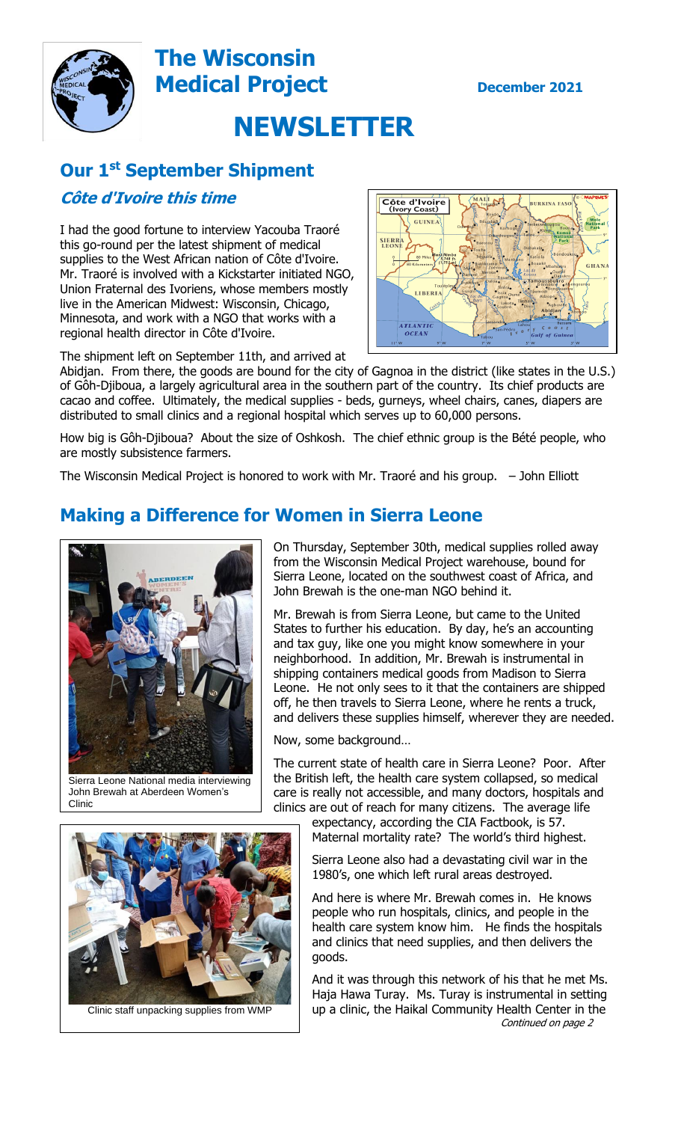

# **The Wisconsin Medical Project December** 2021



# **Our 1 st September Shipment**

#### **Côte d'Ivoire this time**

I had the good fortune to interview Yacouba Traoré this go-round per the latest shipment of medical supplies to the West African nation of Côte d'Ivoire. Mr. Traoré is involved with a Kickstarter initiated NGO, Union Fraternal des Ivoriens, whose members mostly live in the American Midwest: Wisconsin, Chicago, Minnesota, and work with a NGO that works with a regional health director in Côte d'Ivoire.



The shipment left on September 11th, and arrived at

Abidjan. From there, the goods are bound for the city of Gagnoa in the district (like states in the U.S.) of Gôh-Djiboua, a largely agricultural area in the southern part of the country. Its chief products are cacao and coffee. Ultimately, the medical supplies - beds, gurneys, wheel chairs, canes, diapers are distributed to small clinics and a regional hospital which serves up to 60,000 persons.

How big is Gôh-Djiboua? About the size of Oshkosh. The chief ethnic group is the Bété people, who are mostly subsistence farmers.

The Wisconsin Medical Project is honored to work with Mr. Traoré and his group. – John Elliott

## **Making a Difference for Women in Sierra Leone**



Sierra Leone National media interviewing John Brewah at Aberdeen Women's Clinic

On Thursday, September 30th, medical supplies rolled away from the Wisconsin Medical Project warehouse, bound for Sierra Leone, located on the southwest coast of Africa, and John Brewah is the one-man NGO behind it.

Mr. Brewah is from Sierra Leone, but came to the United States to further his education. By day, he's an accounting and tax guy, like one you might know somewhere in your neighborhood. In addition, Mr. Brewah is instrumental in shipping containers medical goods from Madison to Sierra Leone. He not only sees to it that the containers are shipped off, he then travels to Sierra Leone, where he rents a truck, and delivers these supplies himself, wherever they are needed.

Now, some background…

The current state of health care in Sierra Leone? Poor. After the British left, the health care system collapsed, so medical care is really not accessible, and many doctors, hospitals and clinics are out of reach for many citizens. The average life

expectancy, according the CIA Factbook, is 57. Maternal mortality rate? The world's third highest.

Sierra Leone also had a devastating civil war in the 1980's, one which left rural areas destroyed.

And here is where Mr. Brewah comes in. He knows people who run hospitals, clinics, and people in the health care system know him. He finds the hospitals and clinics that need supplies, and then delivers the goods.

And it was through this network of his that he met Ms. Haja Hawa Turay. Ms. Turay is instrumental in setting up a clinic, the Haikal Community Health Center in the Continued on page 2



Clinic staff unpacking supplies from WMP